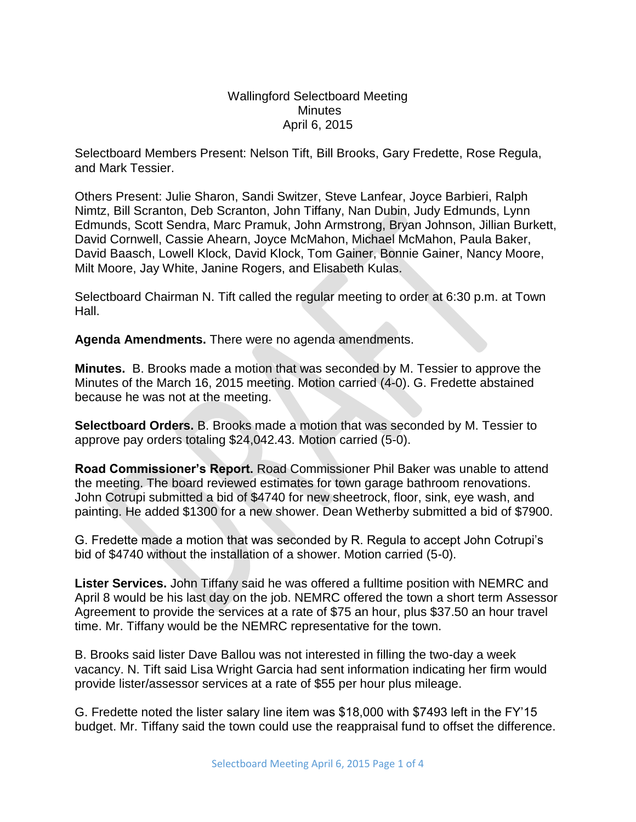Wallingford Selectboard Meeting **Minutes** April 6, 2015

Selectboard Members Present: Nelson Tift, Bill Brooks, Gary Fredette, Rose Regula, and Mark Tessier.

Others Present: Julie Sharon, Sandi Switzer, Steve Lanfear, Joyce Barbieri, Ralph Nimtz, Bill Scranton, Deb Scranton, John Tiffany, Nan Dubin, Judy Edmunds, Lynn Edmunds, Scott Sendra, Marc Pramuk, John Armstrong, Bryan Johnson, Jillian Burkett, David Cornwell, Cassie Ahearn, Joyce McMahon, Michael McMahon, Paula Baker, David Baasch, Lowell Klock, David Klock, Tom Gainer, Bonnie Gainer, Nancy Moore, Milt Moore, Jay White, Janine Rogers, and Elisabeth Kulas.

Selectboard Chairman N. Tift called the regular meeting to order at 6:30 p.m. at Town Hall.

**Agenda Amendments.** There were no agenda amendments.

**Minutes.** B. Brooks made a motion that was seconded by M. Tessier to approve the Minutes of the March 16, 2015 meeting. Motion carried (4-0). G. Fredette abstained because he was not at the meeting.

**Selectboard Orders.** B. Brooks made a motion that was seconded by M. Tessier to approve pay orders totaling \$24,042.43. Motion carried (5-0).

**Road Commissioner's Report.** Road Commissioner Phil Baker was unable to attend the meeting. The board reviewed estimates for town garage bathroom renovations. John Cotrupi submitted a bid of \$4740 for new sheetrock, floor, sink, eye wash, and painting. He added \$1300 for a new shower. Dean Wetherby submitted a bid of \$7900.

G. Fredette made a motion that was seconded by R. Regula to accept John Cotrupi's bid of \$4740 without the installation of a shower. Motion carried (5-0).

**Lister Services.** John Tiffany said he was offered a fulltime position with NEMRC and April 8 would be his last day on the job. NEMRC offered the town a short term Assessor Agreement to provide the services at a rate of \$75 an hour, plus \$37.50 an hour travel time. Mr. Tiffany would be the NEMRC representative for the town.

B. Brooks said lister Dave Ballou was not interested in filling the two-day a week vacancy. N. Tift said Lisa Wright Garcia had sent information indicating her firm would provide lister/assessor services at a rate of \$55 per hour plus mileage.

G. Fredette noted the lister salary line item was \$18,000 with \$7493 left in the FY'15 budget. Mr. Tiffany said the town could use the reappraisal fund to offset the difference.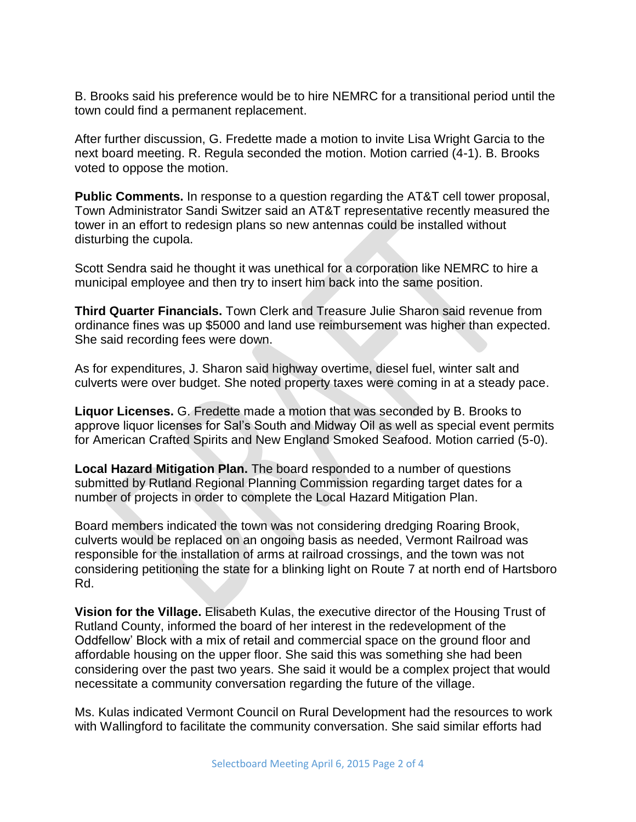B. Brooks said his preference would be to hire NEMRC for a transitional period until the town could find a permanent replacement.

After further discussion, G. Fredette made a motion to invite Lisa Wright Garcia to the next board meeting. R. Regula seconded the motion. Motion carried (4-1). B. Brooks voted to oppose the motion.

**Public Comments.** In response to a question regarding the AT&T cell tower proposal, Town Administrator Sandi Switzer said an AT&T representative recently measured the tower in an effort to redesign plans so new antennas could be installed without disturbing the cupola.

Scott Sendra said he thought it was unethical for a corporation like NEMRC to hire a municipal employee and then try to insert him back into the same position.

**Third Quarter Financials.** Town Clerk and Treasure Julie Sharon said revenue from ordinance fines was up \$5000 and land use reimbursement was higher than expected. She said recording fees were down.

As for expenditures, J. Sharon said highway overtime, diesel fuel, winter salt and culverts were over budget. She noted property taxes were coming in at a steady pace.

**Liquor Licenses.** G. Fredette made a motion that was seconded by B. Brooks to approve liquor licenses for Sal's South and Midway Oil as well as special event permits for American Crafted Spirits and New England Smoked Seafood. Motion carried (5-0).

**Local Hazard Mitigation Plan.** The board responded to a number of questions submitted by Rutland Regional Planning Commission regarding target dates for a number of projects in order to complete the Local Hazard Mitigation Plan.

Board members indicated the town was not considering dredging Roaring Brook, culverts would be replaced on an ongoing basis as needed, Vermont Railroad was responsible for the installation of arms at railroad crossings, and the town was not considering petitioning the state for a blinking light on Route 7 at north end of Hartsboro Rd.

**Vision for the Village.** Elisabeth Kulas, the executive director of the Housing Trust of Rutland County, informed the board of her interest in the redevelopment of the Oddfellow' Block with a mix of retail and commercial space on the ground floor and affordable housing on the upper floor. She said this was something she had been considering over the past two years. She said it would be a complex project that would necessitate a community conversation regarding the future of the village.

Ms. Kulas indicated Vermont Council on Rural Development had the resources to work with Wallingford to facilitate the community conversation. She said similar efforts had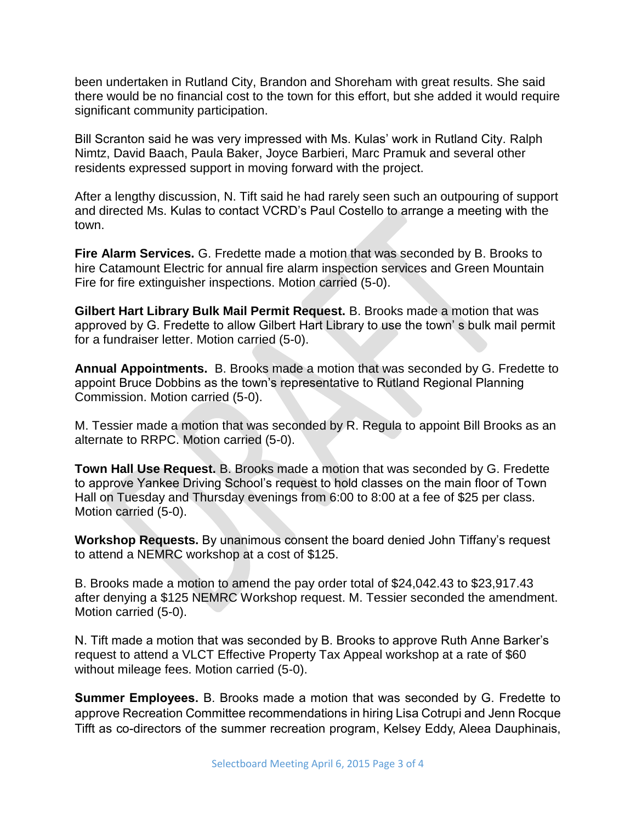been undertaken in Rutland City, Brandon and Shoreham with great results. She said there would be no financial cost to the town for this effort, but she added it would require significant community participation.

Bill Scranton said he was very impressed with Ms. Kulas' work in Rutland City. Ralph Nimtz, David Baach, Paula Baker, Joyce Barbieri, Marc Pramuk and several other residents expressed support in moving forward with the project.

After a lengthy discussion, N. Tift said he had rarely seen such an outpouring of support and directed Ms. Kulas to contact VCRD's Paul Costello to arrange a meeting with the town.

**Fire Alarm Services.** G. Fredette made a motion that was seconded by B. Brooks to hire Catamount Electric for annual fire alarm inspection services and Green Mountain Fire for fire extinguisher inspections. Motion carried (5-0).

**Gilbert Hart Library Bulk Mail Permit Request.** B. Brooks made a motion that was approved by G. Fredette to allow Gilbert Hart Library to use the town' s bulk mail permit for a fundraiser letter. Motion carried (5-0).

**Annual Appointments.** B. Brooks made a motion that was seconded by G. Fredette to appoint Bruce Dobbins as the town's representative to Rutland Regional Planning Commission. Motion carried (5-0).

M. Tessier made a motion that was seconded by R. Regula to appoint Bill Brooks as an alternate to RRPC. Motion carried (5-0).

**Town Hall Use Request.** B. Brooks made a motion that was seconded by G. Fredette to approve Yankee Driving School's request to hold classes on the main floor of Town Hall on Tuesday and Thursday evenings from 6:00 to 8:00 at a fee of \$25 per class. Motion carried (5-0).

**Workshop Requests.** By unanimous consent the board denied John Tiffany's request to attend a NEMRC workshop at a cost of \$125.

B. Brooks made a motion to amend the pay order total of \$24,042.43 to \$23,917.43 after denying a \$125 NEMRC Workshop request. M. Tessier seconded the amendment. Motion carried (5-0).

N. Tift made a motion that was seconded by B. Brooks to approve Ruth Anne Barker's request to attend a VLCT Effective Property Tax Appeal workshop at a rate of \$60 without mileage fees. Motion carried (5-0).

**Summer Employees.** B. Brooks made a motion that was seconded by G. Fredette to approve Recreation Committee recommendations in hiring Lisa Cotrupi and Jenn Rocque Tifft as co-directors of the summer recreation program, Kelsey Eddy, Aleea Dauphinais,